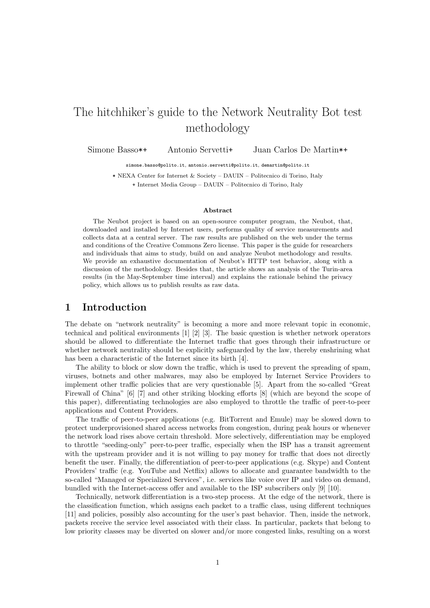# The hitchhiker's guide to the Network Neutrality Bot test methodology

Simone Basso\*+ Antonio Servetti+ Juan Carlos De Martin\*+

simone.basso@polito.it, antonio.servetti@polito.it, demartin@polito.it

\* NEXA Center for Internet & Society – DAUIN – Politecnico di Torino, Italy + Internet Media Group – DAUIN – Politecnico di Torino, Italy

#### Abstract

The Neubot project is based on an open-source computer program, the Neubot, that, downloaded and installed by Internet users, performs quality of service measurements and collects data at a central server. The raw results are published on the web under the terms and conditions of the Creative Commons Zero license. This paper is the guide for researchers and individuals that aims to study, build on and analyze Neubot methodology and results. We provide an exhaustive documentation of Neubot's HTTP test behavior, along with a discussion of the methodology. Besides that, the article shows an analysis of the Turin-area results (in the May-September time interval) and explains the rationale behind the privacy policy, which allows us to publish results as raw data.

### 1 Introduction

The debate on "network neutrality" is becoming a more and more relevant topic in economic, technical and political environments [1] [2] [3]. The basic question is whether network operators should be allowed to differentiate the Internet traffic that goes through their infrastructure or whether network neutrality should be explicitly safeguarded by the law, thereby enshrining what has been a characteristic of the Internet since its birth [4].

The ability to block or slow down the traffic, which is used to prevent the spreading of spam, viruses, botnets and other malwares, may also be employed by Internet Service Providers to implement other traffic policies that are very questionable [5]. Apart from the so-called "Great Firewall of China" [6] [7] and other striking blocking efforts [8] (which are beyond the scope of this paper), differentiating technologies are also employed to throttle the traffic of peer-to-peer applications and Content Providers.

The traffic of peer-to-peer applications (e.g. BitTorrent and Emule) may be slowed down to protect underprovisioned shared access networks from congestion, during peak hours or whenever the network load rises above certain threshold. More selectively, differentiation may be employed to throttle "seeding-only" peer-to-peer traffic, especially when the ISP has a transit agreement with the upstream provider and it is not willing to pay money for traffic that does not directly benefit the user. Finally, the differentiation of peer-to-peer applications (e.g. Skype) and Content Providers' traffic (e.g. YouTube and Netflix) allows to allocate and guarantee bandwidth to the so-called "Managed or Specialized Services", i.e. services like voice over IP and video on demand, bundled with the Internet-access offer and available to the ISP subscribers only [9] [10].

Technically, network differentiation is a two-step process. At the edge of the network, there is the classification function, which assigns each packet to a traffic class, using different techniques [11] and policies, possibly also accounting for the user's past behavior. Then, inside the network, packets receive the service level associated with their class. In particular, packets that belong to low priority classes may be diverted on slower and/or more congested links, resulting on a worst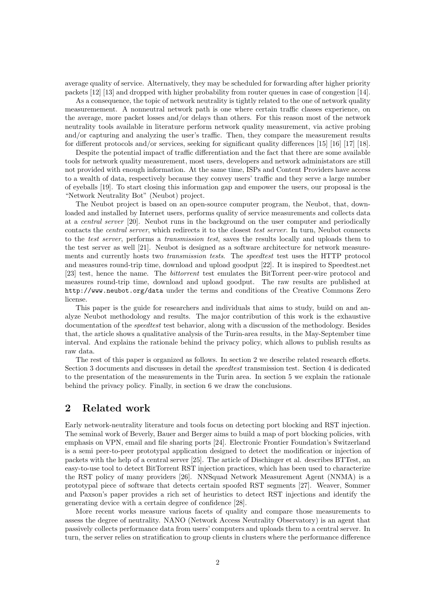average quality of service. Alternatively, they may be scheduled for forwarding after higher priority packets [12] [13] and dropped with higher probability from router queues in case of congestion [14].

As a consequence, the topic of network neutrality is tightly related to the one of network quality measuremement. A nonneutral network path is one where certain traffic classes experience, on the average, more packet losses and/or delays than others. For this reason most of the network neutrality tools available in literature perform network quality measurement, via active probing and/or capturing and analyzing the user's traffic. Then, they compare the measurement results for different protocols and/or services, seeking for significant quality differences [15] [16] [17] [18].

Despite the potential impact of traffic differentiation and the fact that there are some available tools for network quality measurement, most users, developers and network administators are still not provided with enough information. At the same time, ISPs and Content Providers have access to a wealth of data, respectively because they convey users' traffic and they serve a large number of eyeballs [19]. To start closing this information gap and empower the users, our proposal is the "Network Neutrality Bot" (Neubot) project.

The Neubot project is based on an open-source computer program, the Neubot, that, downloaded and installed by Internet users, performs quality of service measurements and collects data at a central server [20]. Neubot runs in the background on the user computer and periodically contacts the central server, which redirects it to the closest test server. In turn, Neubot connects to the test server, performs a transmission test, saves the results locally and uploads them to the test server as well [21]. Neubot is designed as a software architecture for network measurements and currently hosts two transmission tests. The speedtest test uses the HTTP protocol and measures round-trip time, download and upload goodput [22]. It is inspired to Speedtest.net [23] test, hence the name. The *bittorrent* test emulates the BitTorrent peer-wire protocol and measures round-trip time, download and upload goodput. The raw results are published at http://www.neubot.org/data under the terms and conditions of the Creative Commons Zero license.

This paper is the guide for researchers and individuals that aims to study, build on and analyze Neubot methodology and results. The major contribution of this work is the exhaustive documentation of the *speedtest* test behavior, along with a discussion of the methodology. Besides that, the article shows a qualitative analysis of the Turin-area results, in the May-September time interval. And explains the rationale behind the privacy policy, which allows to publish results as raw data.

The rest of this paper is organized as follows. In section 2 we describe related research efforts. Section 3 documents and discusses in detail the speedtest transmission test. Section 4 is dedicated to the presentation of the measurements in the Turin area. In section 5 we explain the rationale behind the privacy policy. Finally, in section 6 we draw the conclusions.

### 2 Related work

Early network-neutrality literature and tools focus on detecting port blocking and RST injection. The seminal work of Beverly, Bauer and Berger aims to build a map of port blocking policies, with emphasis on VPN, email and file sharing ports [24]. Electronic Frontier Foundation's Switzerland is a semi peer-to-peer prototypal application designed to detect the modification or injection of packets with the help of a central server [25]. The article of Dischinger et al. describes BTTest, an easy-to-use tool to detect BitTorrent RST injection practices, which has been used to characterize the RST policy of many providers [26]. NNSquad Network Measurement Agent (NNMA) is a prototypal piece of software that detects certain spoofed RST segments [27]. Weaver, Sommer and Paxson's paper provides a rich set of heuristics to detect RST injections and identify the generating device with a certain degree of confidence [28].

More recent works measure various facets of quality and compare those measurements to assess the degree of neutrality. NANO (Network Access Neutrality Observatory) is an agent that passively collects performance data from users' computers and uploads them to a central server. In turn, the server relies on stratification to group clients in clusters where the performance difference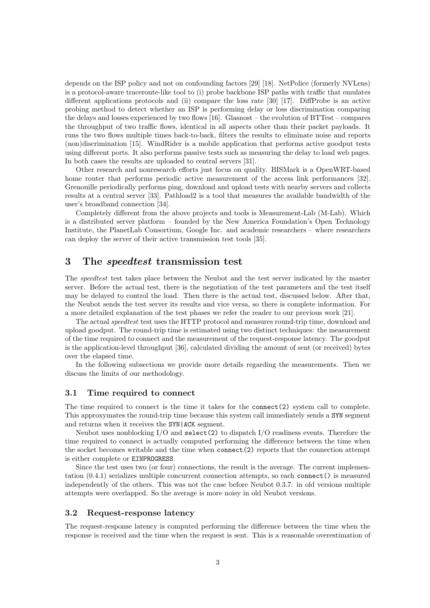depends on the ISP policy and not on confounding factors [29] [18]. NetPolice (formerly NVLens) is a protocol-aware traceroute-like tool to (i) probe backbone ISP paths with traffic that emulates different applications protocols and (ii) compare the loss rate [30] [17]. DiffProbe is an active probing method to detect whether an ISP is performing delay or loss discrimination comparing the delays and losses experienced by two flows [16]. Glasnost – the evolution of BTTest – compares the throughput of two traffic flows, identical in all aspects other than their packet payloads. It runs the two flows multiple times back-to-back, filters the results to eliminate noise and reports (non)discrimination [15]. WindRider is a mobile application that performs active goodput tests using different ports. It also performs passive tests such as measuring the delay to load web pages. In both cases the results are uploaded to central servers [31].

Other research and nonresearch efforts just focus on quality. BISMark is a OpenWRT-based home router that performs periodic active measurement of the access link performances [32]. Grenouille periodically performs ping, download and upload tests with nearby servers and collects results at a central server [33]. Pathload2 is a tool that measures the available bandwidth of the user's broadband connection [34].

Completely different from the above projects and tools is Measurement-Lab (M-Lab). Which is a distributed server platform – founded by the New America Foundation's Open Technology Institute, the PlanetLab Consortium, Google Inc. and academic researchers – where researchers can deploy the server of their active transmission test tools [35].

### 3 The speedtest transmission test

The speedtest test takes place between the Neubot and the test server indicated by the master server. Before the actual test, there is the negotiation of the test parameters and the test itself may be delayed to control the load. Then there is the actual test, discussed below. After that, the Neubot sends the test server its results and vice versa, so there is complete information. For a more detailed explanation of the test phases we refer the reader to our previous work [21].

The actual speedtest test uses the HTTP protocol and measures round-trip time, download and upload goodput. The round-trip time is estimated using two distinct techniques: the measurement of the time required to connect and the measurement of the request-response latency. The goodput is the application-level throughput [36], calculated dividing the amount of sent (or received) bytes over the elapsed time.

In the following subsections we provide more details regarding the measurements. Then we discuss the limits of our methodology.

#### 3.1 Time required to connect

The time required to connect is the time it takes for the connect(2) system call to complete. This approxymates the round-trip time because this system call immediately sends a SYN segment and returns when it receives the SYN|ACK segment.

Neubot uses nonblocking  $I/O$  and  $select(2)$  to dispatch  $I/O$  readiness events. Therefore the time required to connect is actually computed performing the difference between the time when the socket becomes writable and the time when connect(2) reports that the connection attempt is either complete or EINPROGRESS.

Since the test uses two (or four) connections, the result is the average. The current implementation (0.4.1) serializes multiple concurrent connection attempts, so each connect() is measured independently of the others. This was not the case before Neubot 0.3.7: in old versions multiple attempts were overlapped. So the average is more noisy in old Neubot versions.

### 3.2 Request-response latency

The request-response latency is computed performing the difference between the time when the response is received and the time when the request is sent. This is a reasonable overestimation of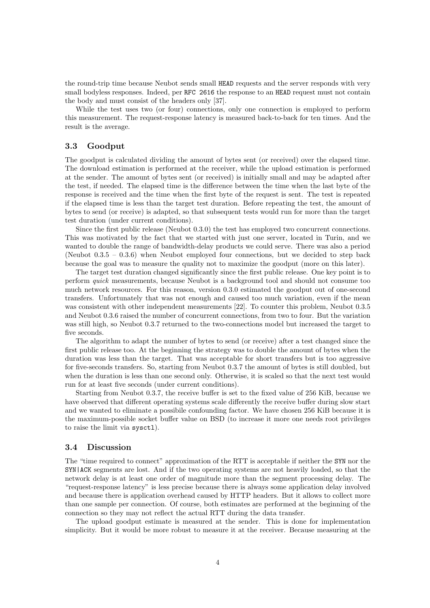the round-trip time because Neubot sends small HEAD requests and the server responds with very small bodyless responses. Indeed, per RFC 2616 the response to an HEAD request must not contain the body and must consist of the headers only [37].

While the test uses two (or four) connections, only one connection is employed to perform this measurement. The request-response latency is measured back-to-back for ten times. And the result is the average.

### 3.3 Goodput

The goodput is calculated dividing the amount of bytes sent (or received) over the elapsed time. The download estimation is performed at the receiver, while the upload estimation is performed at the sender. The amount of bytes sent (or received) is initially small and may be adapted after the test, if needed. The elapsed time is the difference between the time when the last byte of the response is received and the time when the first byte of the request is sent. The test is repeated if the elapsed time is less than the target test duration. Before repeating the test, the amount of bytes to send (or receive) is adapted, so that subsequent tests would run for more than the target test duration (under current conditions).

Since the first public release (Neubot 0.3.0) the test has employed two concurrent connections. This was motivated by the fact that we started with just one server, located in Turin, and we wanted to double the range of bandwidth-delay products we could serve. There was also a period (Neubot 0.3.5 – 0.3.6) when Neubot employed four connections, but we decided to step back because the goal was to measure the quality not to maximize the goodput (more on this later).

The target test duration changed significantly since the first public release. One key point is to perform quick measurements, because Neubot is a background tool and should not consume too much network resources. For this reason, version 0.3.0 estimated the goodput out of one-second transfers. Unfortunately that was not enough and caused too much variation, even if the mean was consistent with other independent measurements [22]. To counter this problem, Neubot 0.3.5 and Neubot 0.3.6 raised the number of concurrent connections, from two to four. But the variation was still high, so Neubot 0.3.7 returned to the two-connections model but increased the target to five seconds.

The algorithm to adapt the number of bytes to send (or receive) after a test changed since the first public release too. At the beginning the strategy was to double the amount of bytes when the duration was less than the target. That was acceptable for short transfers but is too aggressive for five-seconds transfers. So, starting from Neubot 0.3.7 the amount of bytes is still doubled, but when the duration is less than one second only. Otherwise, it is scaled so that the next test would run for at least five seconds (under current conditions).

Starting from Neubot 0.3.7, the receive buffer is set to the fixed value of 256 KiB, because we have observed that different operating systems scale differently the receive buffer during slow start and we wanted to eliminate a possibile confounding factor. We have chosen 256 KiB because it is the maximum-possible socket buffer value on BSD (to increase it more one needs root privileges to raise the limit via sysctl).

#### 3.4 Discussion

The "time required to connect" approximation of the RTT is acceptable if neither the SYN nor the SYN|ACK segments are lost. And if the two operating systems are not heavily loaded, so that the network delay is at least one order of magnitude more than the segment processing delay. The "request-response latency" is less precise because there is always some application delay involved and because there is application overhead caused by HTTP headers. But it allows to collect more than one sample per connection. Of course, both estimates are performed at the beginning of the connection so they may not reflect the actual RTT during the data transfer.

The upload goodput estimate is measured at the sender. This is done for implementation simplicity. But it would be more robust to measure it at the receiver. Because measuring at the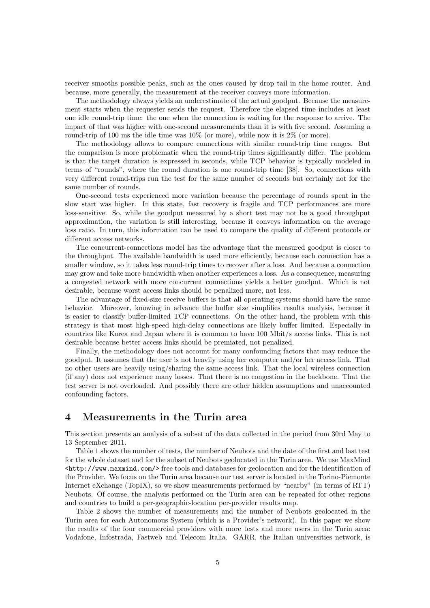receiver smooths possible peaks, such as the ones caused by drop tail in the home router. And because, more generally, the measurement at the receiver conveys more information.

The methodology always yields an underestimate of the actual goodput. Because the measurement starts when the requester sends the request. Therefore the elapsed time includes at least one idle round-trip time: the one when the connection is waiting for the response to arrive. The impact of that was higher with one-second measurements than it is with five second. Assuming a round-trip of 100 ms the idle time was  $10\%$  (or more), while now it is  $2\%$  (or more).

The methodology allows to compare connections with similar round-trip time ranges. But the comparison is more problematic when the round-trip times significantly differ. The problem is that the target duration is expressed in seconds, while TCP behavior is typically modeled in terms of "rounds", where the round duration is one round-trip time [38]. So, connections with very different round-trips run the test for the same number of seconds but certainly not for the same number of rounds.

One-second tests experienced more variation because the percentage of rounds spent in the slow start was higher. In this state, fast recovery is fragile and TCP performances are more loss-sensitive. So, while the goodput measured by a short test may not be a good throughput approximation, the variation is still interesting, because it conveys information on the average loss ratio. In turn, this information can be used to compare the quality of different protocols or different access networks.

The concurrent-connections model has the advantage that the measured goodput is closer to the throughput. The available bandwidth is used more efficiently, because each connection has a smaller window, so it takes less round-trip times to recover after a loss. And because a connection may grow and take more bandwidth when another experiences a loss. As a consequence, measuring a congested network with more concurrent connections yields a better goodput. Which is not desirable, because worst access links should be penalized more, not less.

The advantage of fixed-size receive buffers is that all operating systems should have the same behavior. Moreover, knowing in advance the buffer size simplifies results analysis, because it is easier to classify buffer-limited TCP connections. On the other hand, the problem with this strategy is that most high-speed high-delay connections are likely buffer limited. Especially in countries like Korea and Japan where it is common to have 100 Mbit/s access links. This is not desirable because better access links should be premiated, not penalized.

Finally, the methodology does not account for many confounding factors that may reduce the goodput. It assumes that the user is not heavily using her computer and/or her access link. That no other users are heavily using/sharing the same access link. That the local wireless connection (if any) does not experience many losses. That there is no congestion in the backbone. That the test server is not overloaded. And possibly there are other hidden assumptions and unaccounted confounding factors.

### 4 Measurements in the Turin area

This section presents an analysis of a subset of the data collected in the period from 30rd May to 13 September 2011.

Table 1 shows the number of tests, the number of Neubots and the date of the first and last test for the whole dataset and for the subset of Neubots geolocated in the Turin area. We use MaxMind  $\text{thttp://www.maxmind.com/}$  free tools and databases for geolocation and for the identification of the Provider. We focus on the Turin area because our test server is located in the Torino-Piemonte Internet eXchange (TopIX), so we show measurements performed by "nearby" (in terms of RTT) Neubots. Of course, the analysis performed on the Turin area can be repeated for other regions and countries to build a per-geographic-location per-provider results map.

Table 2 shows the number of measurements and the number of Neubots geolocated in the Turin area for each Autonomous System (which is a Provider's network). In this paper we show the results of the four commercial providers with more tests and more users in the Turin area: Vodafone, Infostrada, Fastweb and Telecom Italia. GARR, the Italian universities network, is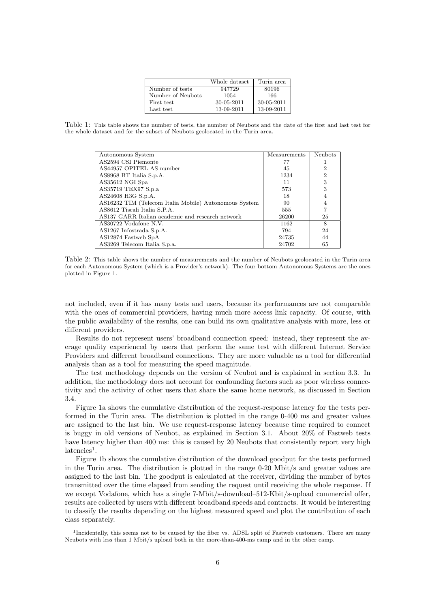|                   | Whole dataset    | Turin area |
|-------------------|------------------|------------|
| Number of tests   | 947729           | 80196      |
| Number of Neubots | 1054             | 166        |
| First test        | $30 - 05 - 2011$ | 30-05-2011 |
| Last test         | 13-09-2011       | 13-09-2011 |

Table 1: This table shows the number of tests, the number of Neubots and the date of the first and last test for the whole dataset and for the subset of Neubots geolocated in the Turin area.

| Autonomous System                                     | Measurements | <b>Neubots</b> |
|-------------------------------------------------------|--------------|----------------|
| AS2594 CSI Piemonte                                   | 77           |                |
| AS44957 OPITEL AS number                              | 45           | 2              |
| AS8968 BT Italia S.p.A.                               | 1234         | $\overline{2}$ |
| AS35612 NGI Spa                                       | 11           | 3              |
| AS35719 TEX97 S.p.a                                   | 573          | 3              |
| AS24608 H3G S.p.A.                                    | 18           | 4              |
| AS16232 TIM (Telecom Italia Mobile) Autonomous System | 90           | 4              |
| AS8612 Tiscali Italia S.P.A.                          | 555          |                |
| AS137 GARR Italian academic and research network      | 26200        | 25             |
| AS30722 Vodafone N.V.                                 | 1162         | 8              |
| AS1267 Infostrada S.p.A.                              | 794          | 24             |
| AS12874 Fastweb SpA                                   | 24735        | 44             |
| AS3269 Telecom Italia S.p.a.                          | 24702        | 65             |

Table 2: This table shows the number of measurements and the number of Neubots geolocated in the Turin area for each Autonomous System (which is a Provider's network). The four bottom Autonomous Systems are the ones plotted in Figure 1.

not included, even if it has many tests and users, because its performances are not comparable with the ones of commercial providers, having much more access link capacity. Of course, with the public availability of the results, one can build its own qualitative analysis with more, less or different providers.

Results do not represent users' broadband connection speed: instead, they represent the average quality experienced by users that perform the same test with different Internet Service Providers and different broadband connections. They are more valuable as a tool for differential analysis than as a tool for measuring the speed magnitude.

The test methodology depends on the version of Neubot and is explained in section 3.3. In addition, the methodology does not account for confounding factors such as poor wireless connectivity and the activity of other users that share the same home network, as discussed in Section 3.4.

Figure 1a shows the cumulative distribution of the request-response latency for the tests performed in the Turin area. The distribution is plotted in the range 0-400 ms and greater values are assigned to the last bin. We use request-response latency because time required to connect is buggy in old versions of Neubot, as explained in Section 3.1. About 20% of Fastweb tests have latency higher than 400 ms: this is caused by 20 Neubots that consistently report very high  $latencies<sup>1</sup>$ .

Figure 1b shows the cumulative distribution of the download goodput for the tests performed in the Turin area. The distribution is plotted in the range 0-20 Mbit/s and greater values are assigned to the last bin. The goodput is calculated at the receiver, dividing the number of bytes transmitted over the time elapsed from sending the request until receiving the whole response. If we except Vodafone, which has a single 7-Mbit/s-download–512-Kbit/s-upload commercial offer, results are collected by users with different broadband speeds and contracts. It would be interesting to classify the results depending on the highest measured speed and plot the contribution of each class separately.

<sup>&</sup>lt;sup>1</sup>Incidentally, this seems not to be caused by the fiber vs. ADSL split of Fastweb customers. There are many Neubots with less than 1 Mbit/s upload both in the more-than-400-ms camp and in the other camp.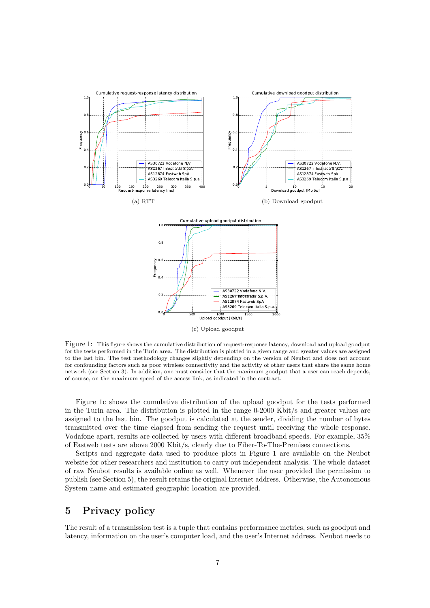

Figure 1: This figure shows the cumulative distribution of request-response latency, download and upload goodput for the tests performed in the Turin area. The distribution is plotted in a given range and greater values are assigned to the last bin. The test methodology changes slightly depending on the version of Neubot and does not account for confounding factors such as poor wireless connectivity and the activity of other users that share the same home network (see Section 3). In addition, one must consider that the maximum goodput that a user can reach depends, of course, on the maximum speed of the access link, as indicated in the contract.

Figure 1c shows the cumulative distribution of the upload goodput for the tests performed in the Turin area. The distribution is plotted in the range  $0-2000$  Kbit/s and greater values are assigned to the last bin. The goodput is calculated at the sender, dividing the number of bytes transmitted over the time elapsed from sending the request until receiving the whole response. Vodafone apart, results are collected by users with different broadband speeds. For example, 35% of Fastweb tests are above 2000 Kbit/s, clearly due to Fiber-To-The-Premises connections.

Scripts and aggregate data used to produce plots in Figure 1 are available on the Neubot website for other researchers and institution to carry out independent analysis. The whole dataset of raw Neubot results is available online as well. Whenever the user provided the permission to publish (see Section 5), the result retains the original Internet address. Otherwise, the Autonomous System name and estimated geographic location are provided.

### 5 Privacy policy

The result of a transmission test is a tuple that contains performance metrics, such as goodput and latency, information on the user's computer load, and the user's Internet address. Neubot needs to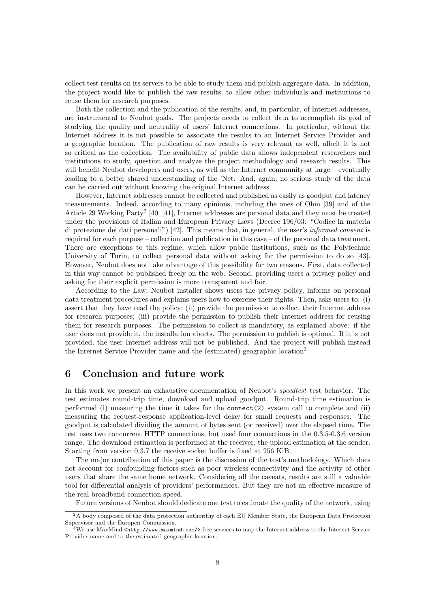collect test results on its servers to be able to study them and publish aggregate data. In addition, the project would like to publish the raw results, to allow other individuals and institutions to reuse them for research purposes.

Both the collection and the publication of the results, and, in particular, of Internet addresses, are instrumental to Neubot goals. The projects needs to collect data to accomplish its goal of studying the quality and neutrality of users' Internet connections. In particular, without the Internet address it is not possible to associate the results to an Internet Service Provider and a geographic location. The publication of raw results is very relevant as well, albeit it is not so critical as the collection. The availability of public data allows independent researchers and institutions to study, question and analyze the project methodology and research results. This will benefit Neubot developers and users, as well as the Internet community at large – eventually leading to a better shared understanding of the 'Net. And, again, no serious study of the data can be carried out without knowing the original Internet address.

However, Internet addresses cannot be collected and published as easily as goodput and latency measurements. Indeed, according to many opinions, including the ones of Ohm [39] and of the Article 29 Working Party<sup>2</sup> [40] [41], Internet addresses are personal data and they must be treated under the provisions of Italian and European Privacy Laws (Decree 196/03: "Codice in materia di protezione dei dati personali") [42]. This means that, in general, the user's informed consent is required for each purpose – collection and publication in this case – of the personal data treatment. There are exceptions to this regime, which allow public institutions, such as the Polytechnic University of Turin, to collect personal data without asking for the permission to do so [43]. However, Neubot does not take advantage of this possibility for two reasons. First, data collected in this way cannot be published freely on the web. Second, providing users a privacy policy and asking for their explicit permission is more transparent and fair.

According to the Law, Neubot installer shows users the privacy policy, informs on personal data treatment procedures and explains users how to exercise their rights. Then, asks users to: (i) assert that they have read the policy; (ii) provide the permission to collect their Internet address for research purposes; (iii) provide the permission to publish their Internet address for reusing them for research purposes. The permission to collect is mandatory, as explained above: if the user does not provide it, the installation aborts. The permission to publish is optional. If it is not provided, the user Internet address will not be published. And the project will publish instead the Internet Service Provider name and the (estimated) geographic location<sup>3</sup>

### 6 Conclusion and future work

In this work we present an exhaustive documentation of Neubot's *speedtest* test behavior. The test estimates round-trip time, download and upload goodput. Round-trip time estimation is performed (i) measuring the time it takes for the connect(2) system call to complete and (ii) measuring the request-response application-level delay for small requests and responses. The goodput is calculated dividing the amount of bytes sent (or received) over the elapsed time. The test uses two concurrent HTTP connections, but used four connections in the 0.3.5-0.3.6 version range. The download estimation is performed at the receiver, the upload estimation at the sender. Starting from version 0.3.7 the receive socket buffer is fixed at 256 KiB.

The major contribution of this paper is the discussion of the test's methodology. Which does not account for confounding factors such as poor wireless connectivity and the activity of other users that share the same home network. Considering all the caveats, results are still a valuable tool for differential analysis of providers' performances. But they are not an effective measure of the real broadband connection speed.

Future versions of Neubot should dedicate one test to estimate the quality of the network, using

<sup>2</sup>A body composed of the data protection authorithy of each EU Member State, the European Data Protection Supervisor and the Europen Commission.

<sup>&</sup>lt;sup>3</sup>We use MaxMind <http://www.maxmind.com/> free services to map the Internet address to the Internet Service Provider name and to the estimated geographic location.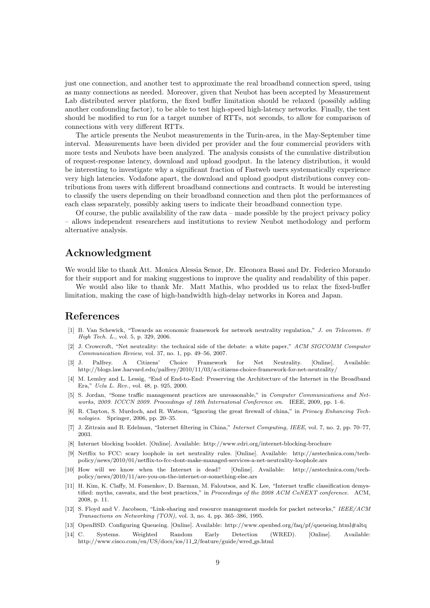just one connection, and another test to approximate the real broadband connection speed, using as many connections as needed. Moreover, given that Neubot has been accepted by Measurement Lab distributed server platform, the fixed buffer limitation should be relaxed (possibly adding another confounding factor), to be able to test high-speed high-latency networks. Finally, the test should be modified to run for a target number of RTTs, not seconds, to allow for comparison of connections with very different RTTs.

The article presents the Neubot measurements in the Turin-area, in the May-September time interval. Measurements have been divided per provider and the four commercial providers with more tests and Neubots have been analyzed. The analysis consists of the cumulative distribution of request-response latency, download and upload goodput. In the latency distribution, it would be interesting to investigate why a significant fraction of Fastweb users systematically experience very high latencies. Vodafone apart, the download and upload goodput distributions convey contributions from users with different broadband connections and contracts. It would be interesting to classify the users depending on their broadband connection and then plot the performances of each class separately, possibly asking users to indicate their broadband connection type.

Of course, the public availability of the raw data – made possible by the project privacy policy – allows independent researchers and institutions to review Neubot methodology and perform alternative analysis.

## Acknowledgment

We would like to thank Att. Monica Alessia Senor, Dr. Eleonora Bassi and Dr. Federico Morando for their support and for making suggestions to improve the quality and readability of this paper.

We would also like to thank Mr. Matt Mathis, who prodded us to relax the fixed-buffer limitation, making the case of high-bandwidth high-delay networks in Korea and Japan.

### References

- [1] B. Van Schewick, "Towards an economic framework for network neutrality regulation," J. on Telecomm. & High Tech. L., vol. 5, p. 329, 2006.
- [2] J. Crowcroft, "Net neutrality: the technical side of the debate: a white paper," ACM SIGCOMM Computer Communication Review, vol. 37, no. 1, pp. 49–56, 2007.
- [3] J. Palfrey. A Citizens' Choice Framework for Net Neutrality. [Online]. Available: http://blogs.law.harvard.edu/palfrey/2010/11/03/a-citizens-choice-framework-for-net-neutrality/
- [4] M. Lemley and L. Lessig, "End of End-to-End: Preserving the Architecture of the Internet in the Broadband Era," Ucla L. Rev., vol. 48, p. 925, 2000.
- [5] S. Jordan, "Some traffic management practices are unreasonable," in Computer Communications and Networks, 2009. ICCCN 2009. Proceedings of 18th Internatonal Conference on. IEEE, 2009, pp. 1–6.
- [6] R. Clayton, S. Murdoch, and R. Watson, "Ignoring the great firewall of china," in Privacy Enhancing Technologies. Springer, 2006, pp. 20–35.
- [7] J. Zittrain and B. Edelman, "Internet filtering in China," Internet Computing, IEEE, vol. 7, no. 2, pp. 70–77, 2003.
- [8] Internet blocking booklet. [Online]. Available: http://www.edri.org/internet-blocking-brochure
- [9] Netflix to FCC: scary loophole in net neutrality rules. [Online]. Available: http://arstechnica.com/techpolicy/news/2010/01/netflix-to-fcc-dont-make-managed-services-a-net-neutrality-loophole.ars
- [10] How will we know when the Internet is dead? [Online]. Available: http://arstechnica.com/techpolicy/news/2010/11/are-you-on-the-internet-or-something-else.ars
- [11] H. Kim, K. Claffy, M. Fomenkov, D. Barman, M. Faloutsos, and K. Lee, "Internet traffic classification demystified: myths, caveats, and the best practices," in Proceedings of the 2008 ACM CoNEXT conference. ACM, 2008, p. 11.
- [12] S. Floyd and V. Jacobson, "Link-sharing and resource management models for packet networks," IEEE/ACM Transactions on Networking (TON), vol. 3, no. 4, pp. 365–386, 1995.
- [13] OpenBSD. Configuring Queueing. [Online]. Available: http://www.openbsd.org/faq/pf/queueing.html#altq
- [14] C. Systems. Weighted Random Early Detection (WRED). [Online]. Available: http://www.cisco.com/en/US/docs/ios/11 2/feature/guide/wred gs.html